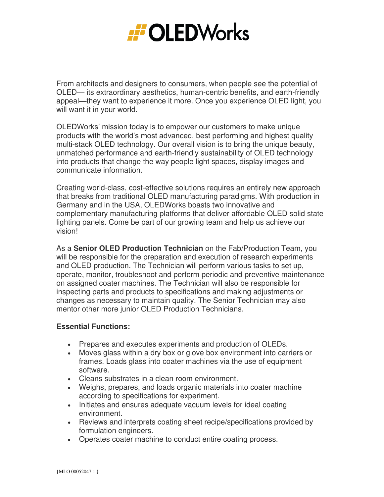

From architects and designers to consumers, when people see the potential of OLED— its extraordinary aesthetics, human-centric benefits, and earth-friendly appeal—they want to experience it more. Once you experience OLED light, you will want it in your world.

OLEDWorks' mission today is to empower our customers to make unique products with the world's most advanced, best performing and highest quality multi-stack OLED technology. Our overall vision is to bring the unique beauty, unmatched performance and earth-friendly sustainability of OLED technology into products that change the way people light spaces, display images and communicate information.

Creating world-class, cost-effective solutions requires an entirely new approach that breaks from traditional OLED manufacturing paradigms. With production in Germany and in the USA, OLEDWorks boasts two innovative and complementary manufacturing platforms that deliver affordable OLED solid state lighting panels. Come be part of our growing team and help us achieve our vision!

As a **Senior OLED Production Technician** on the Fab/Production Team, you will be responsible for the preparation and execution of research experiments and OLED production. The Technician will perform various tasks to set up, operate, monitor, troubleshoot and perform periodic and preventive maintenance on assigned coater machines. The Technician will also be responsible for inspecting parts and products to specifications and making adjustments or changes as necessary to maintain quality. The Senior Technician may also mentor other more junior OLED Production Technicians.

## **Essential Functions:**

- Prepares and executes experiments and production of OLEDs.
- Moves glass within a dry box or glove box environment into carriers or frames. Loads glass into coater machines via the use of equipment software.
- Cleans substrates in a clean room environment.
- Weighs, prepares, and loads organic materials into coater machine according to specifications for experiment.
- Initiates and ensures adequate vacuum levels for ideal coating environment.
- Reviews and interprets coating sheet recipe/specifications provided by formulation engineers.
- Operates coater machine to conduct entire coating process.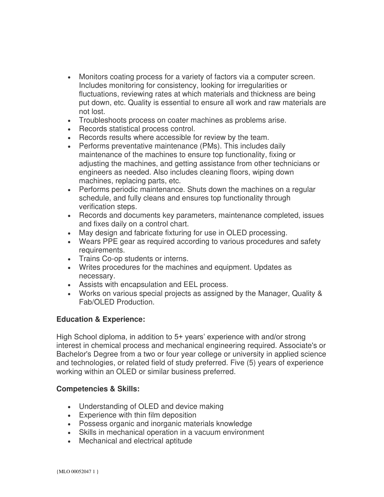- Monitors coating process for a variety of factors via a computer screen. Includes monitoring for consistency, looking for irregularities or fluctuations, reviewing rates at which materials and thickness are being put down, etc. Quality is essential to ensure all work and raw materials are not lost.
- Troubleshoots process on coater machines as problems arise.
- Records statistical process control.
- Records results where accessible for review by the team.
- Performs preventative maintenance (PMs). This includes daily maintenance of the machines to ensure top functionality, fixing or adjusting the machines, and getting assistance from other technicians or engineers as needed. Also includes cleaning floors, wiping down machines, replacing parts, etc.
- Performs periodic maintenance. Shuts down the machines on a regular schedule, and fully cleans and ensures top functionality through verification steps.
- Records and documents key parameters, maintenance completed, issues and fixes daily on a control chart.
- May design and fabricate fixturing for use in OLED processing.
- Wears PPE gear as required according to various procedures and safety requirements.
- Trains Co-op students or interns.
- Writes procedures for the machines and equipment. Updates as necessary.
- Assists with encapsulation and EEL process.
- Works on various special projects as assigned by the Manager, Quality & Fab/OLED Production.

## **Education & Experience:**

High School diploma, in addition to 5+ years' experience with and/or strong interest in chemical process and mechanical engineering required. Associate's or Bachelor's Degree from a two or four year college or university in applied science and technologies, or related field of study preferred. Five (5) years of experience working within an OLED or similar business preferred.

## **Competencies & Skills:**

- Understanding of OLED and device making
- Experience with thin film deposition
- Possess organic and inorganic materials knowledge
- Skills in mechanical operation in a vacuum environment
- Mechanical and electrical aptitude